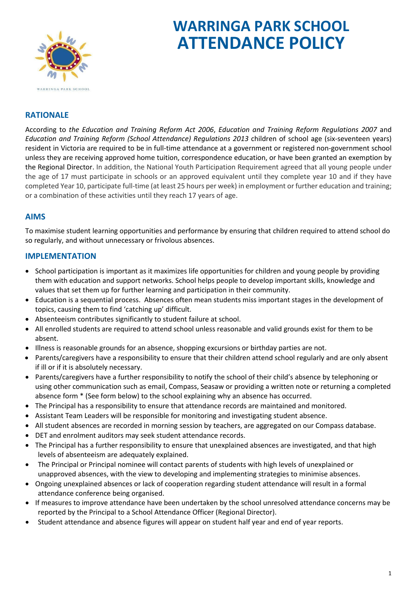

# **WARRINGA PARK SCHOOL ATTENDANCE POLICY**

## **RATIONALE**

According to *the Education and Training Reform Act 2006*, *Education and Training Reform Regulations 2007* and *Education and Training Reform (School Attendance) Regulations 2013* children of school age (six-seventeen years) resident in Victoria are required to be in full-time attendance at a government or registered non-government school unless they are receiving approved home tuition, correspondence education, or have been granted an exemption by the Regional Director. In addition, the National Youth Participation Requirement agreed that all young people under the age of 17 must participate in schools or an approved equivalent until they complete year 10 and if they have completed Year 10, participate full-time (at least 25 hours per week) in employment or further education and training; or a combination of these activities until they reach 17 years of age.

## **AIMS**

To maximise student learning opportunities and performance by ensuring that children required to attend school do so regularly, and without unnecessary or frivolous absences.

## **IMPLEMENTATION**

- School participation is important as it maximizes life opportunities for children and young people by providing them with education and support networks. School helps people to develop important skills, knowledge and values that set them up for further learning and participation in their community.
- Education is a sequential process. Absences often mean students miss important stages in the development of topics, causing them to find 'catching up' difficult.
- Absenteeism contributes significantly to student failure at school.
- All enrolled students are required to attend school unless reasonable and valid grounds exist for them to be absent.
- Illness is reasonable grounds for an absence, shopping excursions or birthday parties are not.
- Parents/caregivers have a responsibility to ensure that their children attend school regularly and are only absent if ill or if it is absolutely necessary.
- Parents/caregivers have a further responsibility to notify the school of their child's absence by telephoning or using other communication such as email, Compass, Seasaw or providing a written note or returning a completed absence form \* (See form below) to the school explaining why an absence has occurred.
- The Principal has a responsibility to ensure that attendance records are maintained and monitored.
- Assistant Team Leaders will be responsible for monitoring and investigating student absence.
- All student absences are recorded in morning session by teachers, are aggregated on our Compass database.
- DET and enrolment auditors may seek student attendance records.
- The Principal has a further responsibility to ensure that unexplained absences are investigated, and that high levels of absenteeism are adequately explained.
- The Principal or Principal nominee will contact parents of students with high levels of unexplained or unapproved absences, with the view to developing and implementing strategies to minimise absences.
- Ongoing unexplained absences or lack of cooperation regarding student attendance will result in a formal attendance conference being organised.
- If measures to improve attendance have been undertaken by the school unresolved attendance concerns may be reported by the Principal to a School Attendance Officer (Regional Director).
- Student attendance and absence figures will appear on student half year and end of year reports.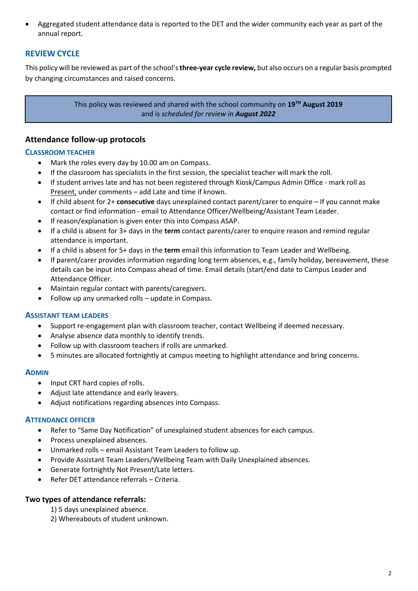• Aggregated student attendance data is reported to the DET and the wider community each year as part of the annual report.

## **REVIEW CYCLE**

This policy will be reviewed as part of the school's **three-year cycle review,** but also occurs on a regular basis prompted by changing circumstances and raised concerns.

> This policy was reviewed and shared with the school community on **19TH August 2019** and is *scheduled for review in August 2022*

## **Attendance follow-up protocols**

#### **CLASSROOM TEACHER**

- Mark the roles every day by 10.00 am on Compass.
- If the classroom has specialists in the first session, the specialist teacher will mark the roll.
- If student arrives late and has not been registered through Kiosk/Campus Admin Office mark roll as Present, under comments – add Late and time if known.
- If child absent for 2+ **consecutive** days unexplained contact parent/carer to enquire If you cannot make contact or find information - email to Attendance Officer/Wellbeing/Assistant Team Leader.
- If reason/explanation is given enter this into Compass ASAP.
- If a child is absent for 3+ days in the **term** contact parents/carer to enquire reason and remind regular attendance is important.
- If a child is absent for 5+ days in the **term** email this information to Team Leader and Wellbeing.
- If parent/carer provides information regarding long term absences, e.g., family holiday, bereavement, these details can be input into Compass ahead of time. Email details (start/end date to Campus Leader and Attendance Officer.
- Maintain regular contact with parents/caregivers.
- Follow up any unmarked rolls update in Compass.

#### **ASSISTANT TEAM LEADERS**

- Support re-engagement plan with classroom teacher, contact Wellbeing if deemed necessary.
- Analyse absence data monthly to identify trends.
- Follow up with classroom teachers if rolls are unmarked.
- 5 minutes are allocated fortnightly at campus meeting to highlight attendance and bring concerns.

#### **ADMIN**

- Input CRT hard copies of rolls.
- Adjust late attendance and early leavers.
- Adjust notifications regarding absences into Compass.

#### **ATTENDANCE OFFICER**

- Refer to "Same Day Notification" of unexplained student absences for each campus.
- Process unexplained absences.
- Unmarked rolls email Assistant Team Leaders to follow up.
- Provide Assistant Team Leaders/Wellbeing Team with Daily Unexplained absences.
- Generate fortnightly Not Present/Late letters.
- Refer DET attendance referrals Criteria.

#### **Two types of attendance referrals:**

- 1) 5 days unexplained absence.
- 2) Whereabouts of student unknown.